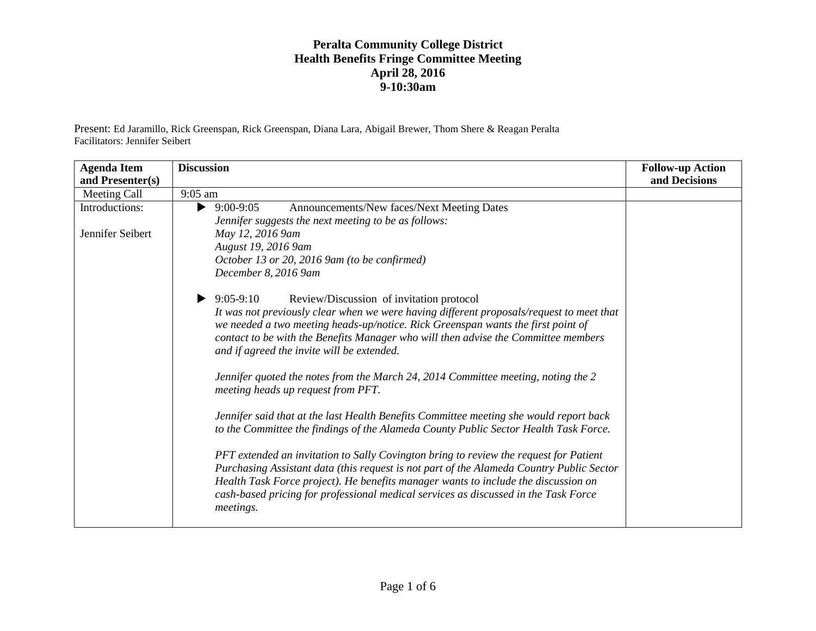Present: Ed Jaramillo, Rick Greenspan, Rick Greenspan, Diana Lara, Abigail Brewer, Thom Shere & Reagan Peralta Facilitators: Jennifer Seibert

| <b>Agenda Item</b><br>and Presenter(s) | <b>Discussion</b>                                                                                                                                                                                                                                                                                                                                                           | <b>Follow-up Action</b><br>and Decisions |
|----------------------------------------|-----------------------------------------------------------------------------------------------------------------------------------------------------------------------------------------------------------------------------------------------------------------------------------------------------------------------------------------------------------------------------|------------------------------------------|
| Meeting Call                           | $9:05$ am                                                                                                                                                                                                                                                                                                                                                                   |                                          |
| Introductions:                         | Announcements/New faces/Next Meeting Dates<br>$9:00-9:05$<br>▶                                                                                                                                                                                                                                                                                                              |                                          |
|                                        | Jennifer suggests the next meeting to be as follows:                                                                                                                                                                                                                                                                                                                        |                                          |
| Jennifer Seibert                       | May 12, 2016 9am                                                                                                                                                                                                                                                                                                                                                            |                                          |
|                                        | August 19, 2016 9am                                                                                                                                                                                                                                                                                                                                                         |                                          |
|                                        | October 13 or 20, 2016 9am (to be confirmed)                                                                                                                                                                                                                                                                                                                                |                                          |
|                                        | December 8, 2016 9am                                                                                                                                                                                                                                                                                                                                                        |                                          |
|                                        | $9:05-9:10$<br>Review/Discussion of invitation protocol                                                                                                                                                                                                                                                                                                                     |                                          |
|                                        | It was not previously clear when we were having different proposals/request to meet that<br>we needed a two meeting heads-up/notice. Rick Greenspan wants the first point of<br>contact to be with the Benefits Manager who will then advise the Committee members                                                                                                          |                                          |
|                                        | and if agreed the invite will be extended.                                                                                                                                                                                                                                                                                                                                  |                                          |
|                                        | Jennifer quoted the notes from the March 24, 2014 Committee meeting, noting the 2<br>meeting heads up request from PFT.                                                                                                                                                                                                                                                     |                                          |
|                                        | Jennifer said that at the last Health Benefits Committee meeting she would report back<br>to the Committee the findings of the Alameda County Public Sector Health Task Force.                                                                                                                                                                                              |                                          |
|                                        | PFT extended an invitation to Sally Covington bring to review the request for Patient<br>Purchasing Assistant data (this request is not part of the Alameda Country Public Sector<br>Health Task Force project). He benefits manager wants to include the discussion on<br>cash-based pricing for professional medical services as discussed in the Task Force<br>meetings. |                                          |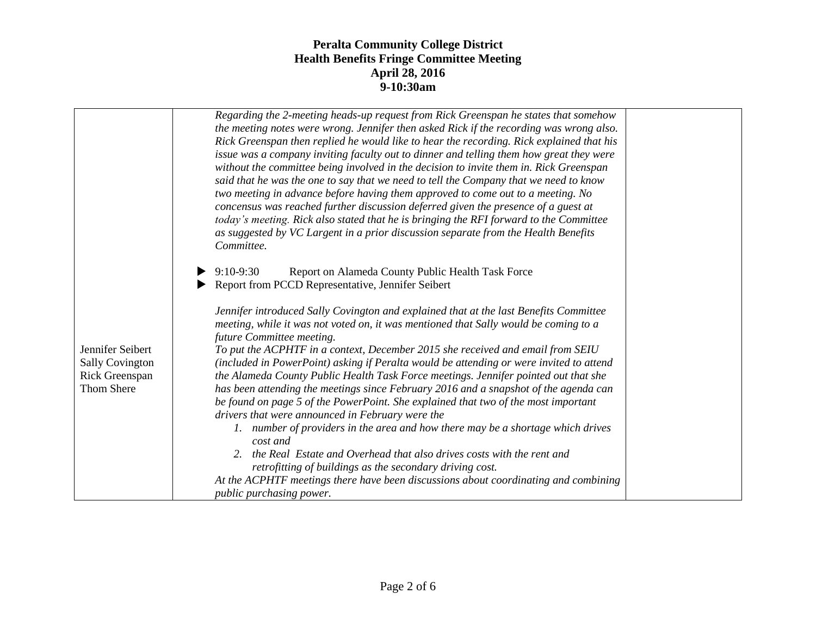|                                                                            | Regarding the 2-meeting heads-up request from Rick Greenspan he states that somehow<br>the meeting notes were wrong. Jennifer then asked Rick if the recording was wrong also.<br>Rick Greenspan then replied he would like to hear the recording. Rick explained that his<br>issue was a company inviting faculty out to dinner and telling them how great they were<br>without the committee being involved in the decision to invite them in. Rick Greenspan<br>said that he was the one to say that we need to tell the Company that we need to know<br>two meeting in advance before having them approved to come out to a meeting. No<br>concensus was reached further discussion deferred given the presence of a guest at<br>today's meeting. Rick also stated that he is bringing the RFI forward to the Committee<br>as suggested by VC Largent in a prior discussion separate from the Health Benefits<br>Committee.<br>Report on Alameda County Public Health Task Force<br>$9:10-9:30$                                                                                                                                    |  |
|----------------------------------------------------------------------------|----------------------------------------------------------------------------------------------------------------------------------------------------------------------------------------------------------------------------------------------------------------------------------------------------------------------------------------------------------------------------------------------------------------------------------------------------------------------------------------------------------------------------------------------------------------------------------------------------------------------------------------------------------------------------------------------------------------------------------------------------------------------------------------------------------------------------------------------------------------------------------------------------------------------------------------------------------------------------------------------------------------------------------------------------------------------------------------------------------------------------------------|--|
| Jennifer Seibert<br><b>Sally Covington</b><br>Rick Greenspan<br>Thom Shere | Report from PCCD Representative, Jennifer Seibert<br>Jennifer introduced Sally Covington and explained that at the last Benefits Committee<br>meeting, while it was not voted on, it was mentioned that Sally would be coming to a<br>future Committee meeting.<br>To put the ACPHTF in a context, December 2015 she received and email from SEIU<br>(included in PowerPoint) asking if Peralta would be attending or were invited to attend<br>the Alameda County Public Health Task Force meetings. Jennifer pointed out that she<br>has been attending the meetings since February 2016 and a snapshot of the agenda can<br>be found on page 5 of the PowerPoint. She explained that two of the most important<br>drivers that were announced in February were the<br>1. number of providers in the area and how there may be a shortage which drives<br>cost and<br>2. the Real Estate and Overhead that also drives costs with the rent and<br>retrofitting of buildings as the secondary driving cost.<br>At the ACPHTF meetings there have been discussions about coordinating and combining<br><i>public purchasing power.</i> |  |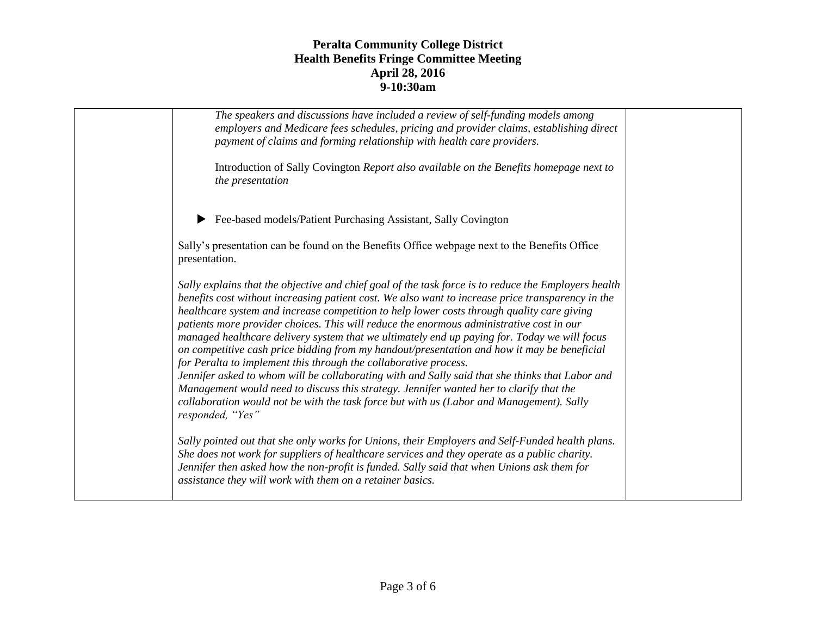| The speakers and discussions have included a review of self-funding models among<br>employers and Medicare fees schedules, pricing and provider claims, establishing direct<br>payment of claims and forming relationship with health care providers.                                                                                                                                                                                                                                                                                                                                                                                                                                                                                                                                                                                                                                                                                                                                |  |
|--------------------------------------------------------------------------------------------------------------------------------------------------------------------------------------------------------------------------------------------------------------------------------------------------------------------------------------------------------------------------------------------------------------------------------------------------------------------------------------------------------------------------------------------------------------------------------------------------------------------------------------------------------------------------------------------------------------------------------------------------------------------------------------------------------------------------------------------------------------------------------------------------------------------------------------------------------------------------------------|--|
| Introduction of Sally Covington Report also available on the Benefits homepage next to<br>the presentation                                                                                                                                                                                                                                                                                                                                                                                                                                                                                                                                                                                                                                                                                                                                                                                                                                                                           |  |
| Fee-based models/Patient Purchasing Assistant, Sally Covington                                                                                                                                                                                                                                                                                                                                                                                                                                                                                                                                                                                                                                                                                                                                                                                                                                                                                                                       |  |
| Sally's presentation can be found on the Benefits Office webpage next to the Benefits Office<br>presentation.                                                                                                                                                                                                                                                                                                                                                                                                                                                                                                                                                                                                                                                                                                                                                                                                                                                                        |  |
| Sally explains that the objective and chief goal of the task force is to reduce the Employers health<br>benefits cost without increasing patient cost. We also want to increase price transparency in the<br>healthcare system and increase competition to help lower costs through quality care giving<br>patients more provider choices. This will reduce the enormous administrative cost in our<br>managed healthcare delivery system that we ultimately end up paying for. Today we will focus<br>on competitive cash price bidding from my handout/presentation and how it may be beneficial<br>for Peralta to implement this through the collaborative process.<br>Jennifer asked to whom will be collaborating with and Sally said that she thinks that Labor and<br>Management would need to discuss this strategy. Jennifer wanted her to clarify that the<br>collaboration would not be with the task force but with us (Labor and Management). Sally<br>responded, "Yes" |  |
| Sally pointed out that she only works for Unions, their Employers and Self-Funded health plans.<br>She does not work for suppliers of healthcare services and they operate as a public charity.<br>Jennifer then asked how the non-profit is funded. Sally said that when Unions ask them for<br>assistance they will work with them on a retainer basics.                                                                                                                                                                                                                                                                                                                                                                                                                                                                                                                                                                                                                           |  |
|                                                                                                                                                                                                                                                                                                                                                                                                                                                                                                                                                                                                                                                                                                                                                                                                                                                                                                                                                                                      |  |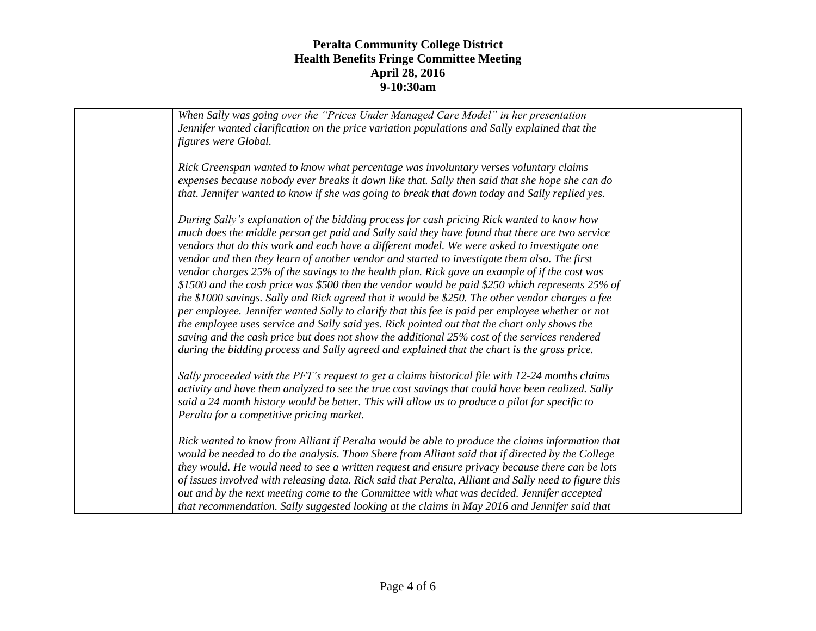| When Sally was going over the "Prices Under Managed Care Model" in her presentation<br>Jennifer wanted clarification on the price variation populations and Sally explained that the<br>figures were Global.                                                                                                                                                                                                                                                                                                                                                                                                                                                                                                                                                                                                                                                                                                                                                                                                                                                                                               |  |
|------------------------------------------------------------------------------------------------------------------------------------------------------------------------------------------------------------------------------------------------------------------------------------------------------------------------------------------------------------------------------------------------------------------------------------------------------------------------------------------------------------------------------------------------------------------------------------------------------------------------------------------------------------------------------------------------------------------------------------------------------------------------------------------------------------------------------------------------------------------------------------------------------------------------------------------------------------------------------------------------------------------------------------------------------------------------------------------------------------|--|
| Rick Greenspan wanted to know what percentage was involuntary verses voluntary claims<br>expenses because nobody ever breaks it down like that. Sally then said that she hope she can do<br>that. Jennifer wanted to know if she was going to break that down today and Sally replied yes.                                                                                                                                                                                                                                                                                                                                                                                                                                                                                                                                                                                                                                                                                                                                                                                                                 |  |
| During Sally's explanation of the bidding process for cash pricing Rick wanted to know how<br>much does the middle person get paid and Sally said they have found that there are two service<br>vendors that do this work and each have a different model. We were asked to investigate one<br>vendor and then they learn of another vendor and started to investigate them also. The first<br>vendor charges 25% of the savings to the health plan. Rick gave an example of if the cost was<br>\$1500 and the cash price was \$500 then the vendor would be paid \$250 which represents $25\%$ of<br>the \$1000 savings. Sally and Rick agreed that it would be \$250. The other vendor charges a fee<br>per employee. Jennifer wanted Sally to clarify that this fee is paid per employee whether or not<br>the employee uses service and Sally said yes. Rick pointed out that the chart only shows the<br>saving and the cash price but does not show the additional 25% cost of the services rendered<br>during the bidding process and Sally agreed and explained that the chart is the gross price. |  |
| Sally proceeded with the PFT's request to get a claims historical file with 12-24 months claims<br>activity and have them analyzed to see the true cost savings that could have been realized. Sally<br>said a 24 month history would be better. This will allow us to produce a pilot for specific to<br>Peralta for a competitive pricing market.                                                                                                                                                                                                                                                                                                                                                                                                                                                                                                                                                                                                                                                                                                                                                        |  |
| Rick wanted to know from Alliant if Peralta would be able to produce the claims information that<br>would be needed to do the analysis. Thom Shere from Alliant said that if directed by the College<br>they would. He would need to see a written request and ensure privacy because there can be lots<br>of issues involved with releasing data. Rick said that Peralta, Alliant and Sally need to figure this<br>out and by the next meeting come to the Committee with what was decided. Jennifer accepted<br>that recommendation. Sally suggested looking at the claims in May 2016 and Jennifer said that                                                                                                                                                                                                                                                                                                                                                                                                                                                                                            |  |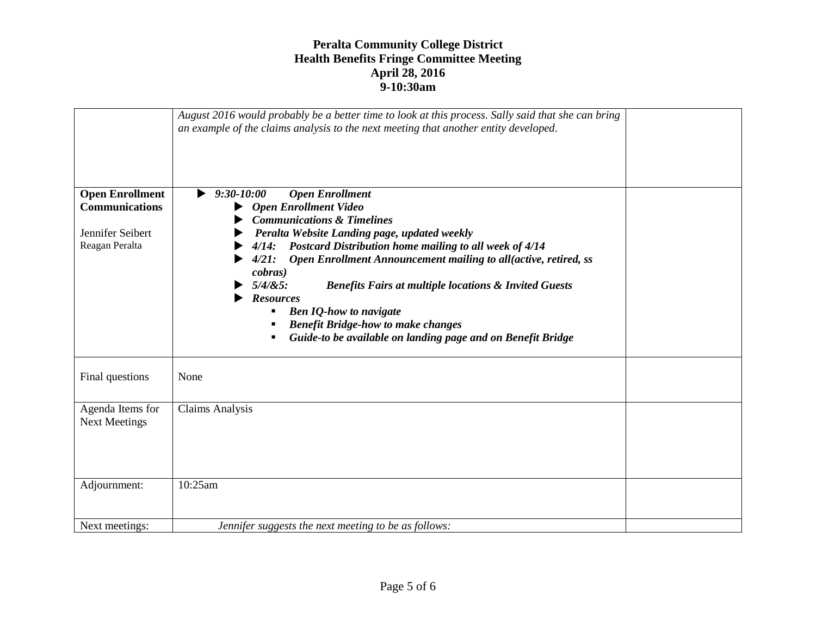|                                                                                       | August 2016 would probably be a better time to look at this process. Sally said that she can bring<br>an example of the claims analysis to the next meeting that another entity developed.                                                                                                                                                                                                                                                                                                                                                                                                         |  |
|---------------------------------------------------------------------------------------|----------------------------------------------------------------------------------------------------------------------------------------------------------------------------------------------------------------------------------------------------------------------------------------------------------------------------------------------------------------------------------------------------------------------------------------------------------------------------------------------------------------------------------------------------------------------------------------------------|--|
| <b>Open Enrollment</b><br><b>Communications</b><br>Jennifer Seibert<br>Reagan Peralta | <b>Open Enrollment</b><br>$9:30 - 10:00$<br>▶<br><b>Open Enrollment Video</b><br><b>Communications &amp; Timelines</b><br>Peralta Website Landing page, updated weekly<br>4/14: Postcard Distribution home mailing to all week of 4/14<br>Open Enrollment Announcement mailing to all(active, retired, ss<br>4/21:<br><i>cobras</i> )<br>$5/4/85$ :<br><b>Benefits Fairs at multiple locations &amp; Invited Guests</b><br><b>Resources</b><br><b>Ben IQ-how to navigate</b><br><b>Benefit Bridge-how to make changes</b><br>٠<br>Guide-to be available on landing page and on Benefit Bridge<br>٠ |  |
| Final questions                                                                       | None                                                                                                                                                                                                                                                                                                                                                                                                                                                                                                                                                                                               |  |
| Agenda Items for<br><b>Next Meetings</b>                                              | <b>Claims Analysis</b>                                                                                                                                                                                                                                                                                                                                                                                                                                                                                                                                                                             |  |
| Adjournment:                                                                          | 10:25am                                                                                                                                                                                                                                                                                                                                                                                                                                                                                                                                                                                            |  |
| Next meetings:                                                                        | Jennifer suggests the next meeting to be as follows:                                                                                                                                                                                                                                                                                                                                                                                                                                                                                                                                               |  |